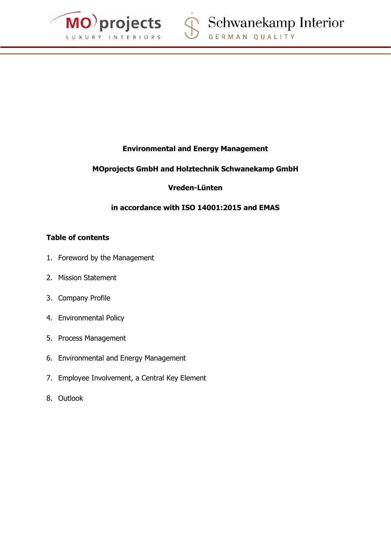

# **Environmental and Energy Management**

# **MOprojects GmbH and Holztechnik Schwanekamp GmbH**

## **Vreden-Lünten**

# **in accordance with ISO 14001:2015 and EMAS**

## **Table of contents**

- 1. Foreword by the Management
- 2. Mission Statement
- 3. Company Profile
- 4. Environmental Policy
- 5. Process Management
- 6. Environmental and Energy Management
- 7. Employee Involvement, a Central Key Element
- 8. Outlook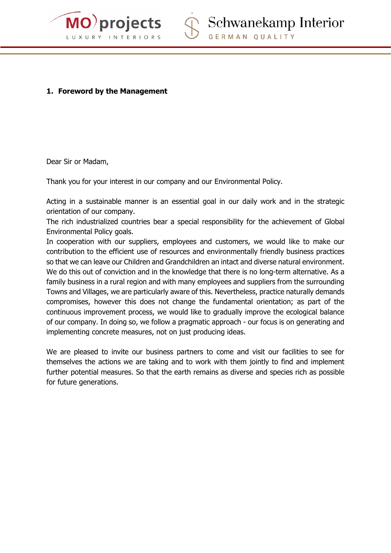



## **1. Foreword by the Management**

Dear Sir or Madam,

Thank you for your interest in our company and our Environmental Policy.

Acting in a sustainable manner is an essential goal in our daily work and in the strategic orientation of our company.

The rich industrialized countries bear a special responsibility for the achievement of Global Environmental Policy goals.

In cooperation with our suppliers, employees and customers, we would like to make our contribution to the efficient use of resources and environmentally friendly business practices so that we can leave our Children and Grandchildren an intact and diverse natural environment. We do this out of conviction and in the knowledge that there is no long-term alternative. As a family business in a rural region and with many employees and suppliers from the surrounding Towns and Villages, we are particularly aware of this. Nevertheless, practice naturally demands compromises, however this does not change the fundamental orientation; as part of the continuous improvement process, we would like to gradually improve the ecological balance of our company. In doing so, we follow a pragmatic approach - our focus is on generating and implementing concrete measures, not on just producing ideas.

We are pleased to invite our business partners to come and visit our facilities to see for themselves the actions we are taking and to work with them jointly to find and implement further potential measures. So that the earth remains as diverse and species rich as possible for future generations.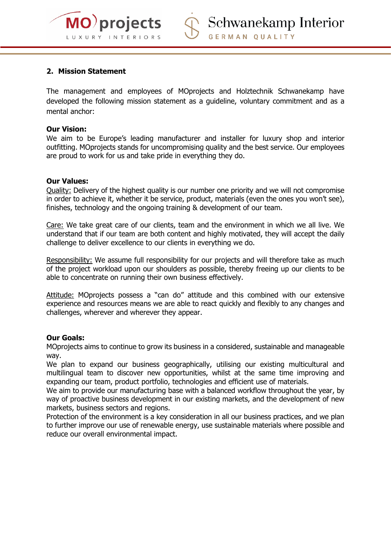

## **2. Mission Statement**

The management and employees of MOprojects and Holztechnik Schwanekamp have developed the following mission statement as a guideline, voluntary commitment and as a mental anchor:

#### **Our Vision:**

We aim to be Europe's leading manufacturer and installer for luxury shop and interior outfitting. MOprojects stands for uncompromising quality and the best service. Our employees are proud to work for us and take pride in everything they do.

#### **Our Values:**

Quality: Delivery of the highest quality is our number one priority and we will not compromise in order to achieve it, whether it be service, product, materials (even the ones you won't see), finishes, technology and the ongoing training & development of our team.

Care: We take great care of our clients, team and the environment in which we all live. We understand that if our team are both content and highly motivated, they will accept the daily challenge to deliver excellence to our clients in everything we do.

Responsibility: We assume full responsibility for our projects and will therefore take as much of the project workload upon our shoulders as possible, thereby freeing up our clients to be able to concentrate on running their own business effectively.

Attitude: MOprojects possess a "can do" attitude and this combined with our extensive experience and resources means we are able to react quickly and flexibly to any changes and challenges, wherever and wherever they appear.

#### **Our Goals:**

MOprojects aims to continue to grow its business in a considered, sustainable and manageable way.

We plan to expand our business geographically, utilising our existing multicultural and multilingual team to discover new opportunities, whilst at the same time improving and expanding our team, product portfolio, technologies and efficient use of materials.

We aim to provide our manufacturing base with a balanced workflow throughout the year, by way of proactive business development in our existing markets, and the development of new markets, business sectors and regions.

Protection of the environment is a key consideration in all our business practices, and we plan to further improve our use of renewable energy, use sustainable materials where possible and reduce our overall environmental impact.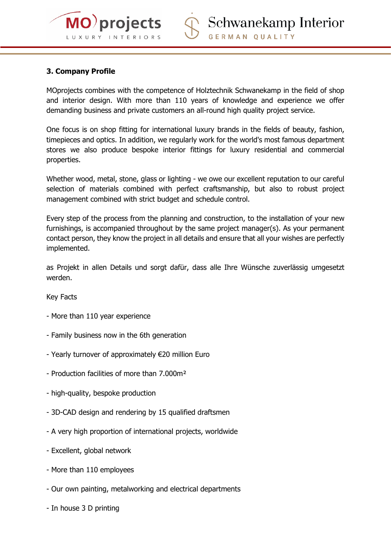

## **3. Company Profile**

MOprojects combines with the competence of Holztechnik Schwanekamp in the field of shop and interior design. With more than 110 years of knowledge and experience we offer demanding business and private customers an all-round high quality project service.

One focus is on shop fitting for international luxury brands in the fields of beauty, fashion, timepieces and optics. In addition, we regularly work for the world's most famous department stores we also produce bespoke interior fittings for luxury residential and commercial properties.

Whether wood, metal, stone, glass or lighting - we owe our excellent reputation to our careful selection of materials combined with perfect craftsmanship, but also to robust project management combined with strict budget and schedule control.

Every step of the process from the planning and construction, to the installation of your new furnishings, is accompanied throughout by the same project manager(s). As your permanent contact person, they know the project in all details and ensure that all your wishes are perfectly implemented.

as Projekt in allen Details und sorgt dafür, dass alle Ihre Wünsche zuverlässig umgesetzt werden.

Key Facts

- More than 110 year experience
- Family business now in the 6th generation
- Yearly turnover of approximately €20 million Euro
- Production facilities of more than 7.000m²
- high-quality, bespoke production
- 3D-CAD design and rendering by 15 qualified draftsmen
- A very high proportion of international projects, worldwide
- Excellent, global network
- More than 110 employees
- Our own painting, metalworking and electrical departments
- In house 3 D printing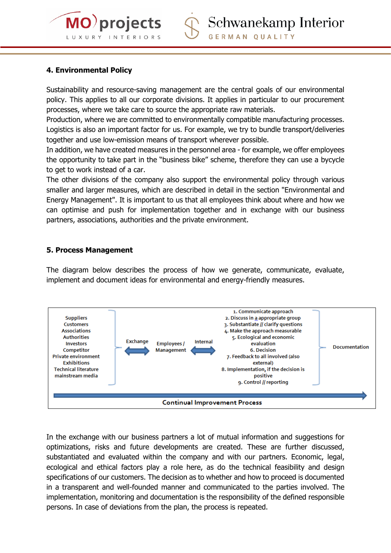

## **4. Environmental Policy**

Sustainability and resource-saving management are the central goals of our environmental policy. This applies to all our corporate divisions. It applies in particular to our procurement processes, where we take care to source the appropriate raw materials.

Production, where we are committed to environmentally compatible manufacturing processes. Logistics is also an important factor for us. For example, we try to bundle transport/deliveries together and use low-emission means of transport wherever possible.

In addition, we have created measures in the personnel area - for example, we offer employees the opportunity to take part in the "business bike" scheme, therefore they can use a bycycle to get to work instead of a car.

The other divisions of the company also support the environmental policy through various smaller and larger measures, which are described in detail in the section "Environmental and Energy Management". It is important to us that all employees think about where and how we can optimise and push for implementation together and in exchange with our business partners, associations, authorities and the private environment.

## **5. Process Management**

The diagram below describes the process of how we generate, communicate, evaluate, implement and document ideas for environmental and energy-friendly measures.



In the exchange with our business partners a lot of mutual information and suggestions for optimizations, risks and future developments are created. These are further discussed, substantiated and evaluated within the company and with our partners. Economic, legal, ecological and ethical factors play a role here, as do the technical feasibility and design specifications of our customers. The decision as to whether and how to proceed is documented in a transparent and well-founded manner and communicated to the parties involved. The implementation, monitoring and documentation is the responsibility of the defined responsible persons. In case of deviations from the plan, the process is repeated.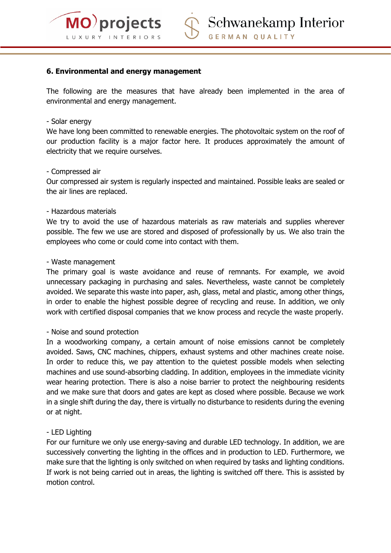

## **6. Environmental and energy management**

The following are the measures that have already been implemented in the area of environmental and energy management.

#### - Solar energy

We have long been committed to renewable energies. The photovoltaic system on the roof of our production facility is a major factor here. It produces approximately the amount of electricity that we require ourselves.

#### - Compressed air

Our compressed air system is regularly inspected and maintained. Possible leaks are sealed or the air lines are replaced.

#### - Hazardous materials

We try to avoid the use of hazardous materials as raw materials and supplies wherever possible. The few we use are stored and disposed of professionally by us. We also train the employees who come or could come into contact with them.

#### - Waste management

The primary goal is waste avoidance and reuse of remnants. For example, we avoid unnecessary packaging in purchasing and sales. Nevertheless, waste cannot be completely avoided. We separate this waste into paper, ash, glass, metal and plastic, among other things, in order to enable the highest possible degree of recycling and reuse. In addition, we only work with certified disposal companies that we know process and recycle the waste properly.

#### - Noise and sound protection

In a woodworking company, a certain amount of noise emissions cannot be completely avoided. Saws, CNC machines, chippers, exhaust systems and other machines create noise. In order to reduce this, we pay attention to the quietest possible models when selecting machines and use sound-absorbing cladding. In addition, employees in the immediate vicinity wear hearing protection. There is also a noise barrier to protect the neighbouring residents and we make sure that doors and gates are kept as closed where possible. Because we work in a single shift during the day, there is virtually no disturbance to residents during the evening or at night.

#### - LED Lighting

For our furniture we only use energy-saving and durable LED technology. In addition, we are successively converting the lighting in the offices and in production to LED. Furthermore, we make sure that the lighting is only switched on when required by tasks and lighting conditions. If work is not being carried out in areas, the lighting is switched off there. This is assisted by motion control.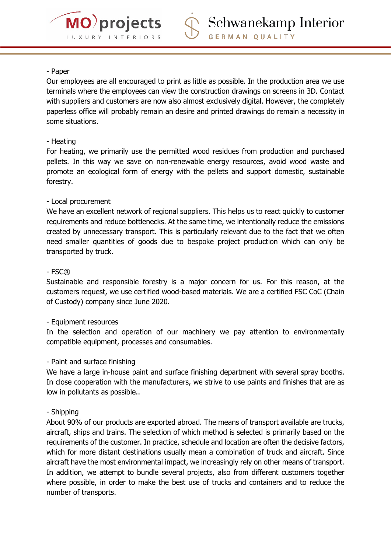

### - Paper

Our employees are all encouraged to print as little as possible. In the production area we use terminals where the employees can view the construction drawings on screens in 3D. Contact with suppliers and customers are now also almost exclusively digital. However, the completely paperless office will probably remain an desire and printed drawings do remain a necessity in some situations.

## - Heating

For heating, we primarily use the permitted wood residues from production and purchased pellets. In this way we save on non-renewable energy resources, avoid wood waste and promote an ecological form of energy with the pellets and support domestic, sustainable forestry.

## - Local procurement

We have an excellent network of regional suppliers. This helps us to react quickly to customer requirements and reduce bottlenecks. At the same time, we intentionally reduce the emissions created by unnecessary transport. This is particularly relevant due to the fact that we often need smaller quantities of goods due to bespoke project production which can only be transported by truck.

## - FSC®

Sustainable and responsible forestry is a major concern for us. For this reason, at the customers request, we use certified wood-based materials. We are a certified FSC CoC (Chain of Custody) company since June 2020.

## - Equipment resources

In the selection and operation of our machinery we pay attention to environmentally compatible equipment, processes and consumables.

## - Paint and surface finishing

We have a large in-house paint and surface finishing department with several spray booths. In close cooperation with the manufacturers, we strive to use paints and finishes that are as low in pollutants as possible..

## - Shipping

About 90% of our products are exported abroad. The means of transport available are trucks, aircraft, ships and trains. The selection of which method is selected is primarily based on the requirements of the customer. In practice, schedule and location are often the decisive factors, which for more distant destinations usually mean a combination of truck and aircraft. Since aircraft have the most environmental impact, we increasingly rely on other means of transport. In addition, we attempt to bundle several projects, also from different customers together where possible, in order to make the best use of trucks and containers and to reduce the number of transports.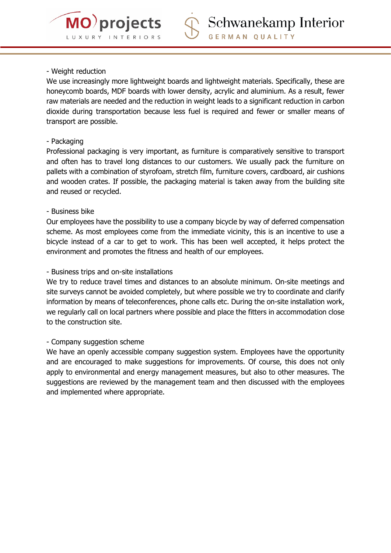

## - Weight reduction

We use increasingly more lightweight boards and lightweight materials. Specifically, these are honeycomb boards, MDF boards with lower density, acrylic and aluminium. As a result, fewer raw materials are needed and the reduction in weight leads to a significant reduction in carbon dioxide during transportation because less fuel is required and fewer or smaller means of transport are possible.

## - Packaging

Professional packaging is very important, as furniture is comparatively sensitive to transport and often has to travel long distances to our customers. We usually pack the furniture on pallets with a combination of styrofoam, stretch film, furniture covers, cardboard, air cushions and wooden crates. If possible, the packaging material is taken away from the building site and reused or recycled.

## - Business bike

Our employees have the possibility to use a company bicycle by way of deferred compensation scheme. As most employees come from the immediate vicinity, this is an incentive to use a bicycle instead of a car to get to work. This has been well accepted, it helps protect the environment and promotes the fitness and health of our employees.

## - Business trips and on-site installations

We try to reduce travel times and distances to an absolute minimum. On-site meetings and site surveys cannot be avoided completely, but where possible we try to coordinate and clarify information by means of teleconferences, phone calls etc. During the on-site installation work, we regularly call on local partners where possible and place the fitters in accommodation close to the construction site.

## - Company suggestion scheme

We have an openly accessible company suggestion system. Employees have the opportunity and are encouraged to make suggestions for improvements. Of course, this does not only apply to environmental and energy management measures, but also to other measures. The suggestions are reviewed by the management team and then discussed with the employees and implemented where appropriate.